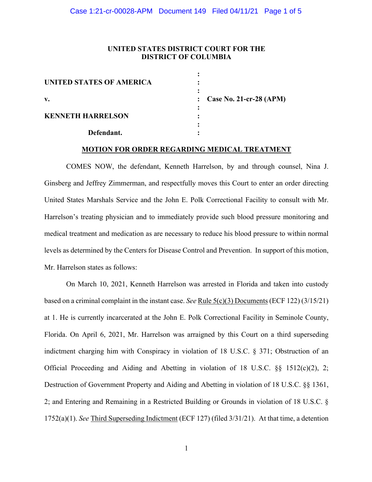# **UNITED STATES DISTRICT COURT FOR THE DISTRICT OF COLUMBIA**

| UNITED STATES OF AMERICA |                           |
|--------------------------|---------------------------|
| v.                       | : Case No. 21-cr-28 (APM) |
| <b>KENNETH HARRELSON</b> |                           |
| Defendant.               |                           |

#### **MOTION FOR ORDER REGARDING MEDICAL TREATMENT**

COMES NOW, the defendant, Kenneth Harrelson, by and through counsel, Nina J. Ginsberg and Jeffrey Zimmerman, and respectfully moves this Court to enter an order directing United States Marshals Service and the John E. Polk Correctional Facility to consult with Mr. Harrelson's treating physician and to immediately provide such blood pressure monitoring and medical treatment and medication as are necessary to reduce his blood pressure to within normal levels as determined by the Centers for Disease Control and Prevention. In support of this motion, Mr. Harrelson states as follows:

On March 10, 2021, Kenneth Harrelson was arrested in Florida and taken into custody based on a criminal complaint in the instant case. *See* Rule 5(c)(3) Documents (ECF 122) (3/15/21) at 1. He is currently incarcerated at the John E. Polk Correctional Facility in Seminole County, Florida. On April 6, 2021, Mr. Harrelson was arraigned by this Court on a third superseding indictment charging him with Conspiracy in violation of 18 U.S.C. § 371; Obstruction of an Official Proceeding and Aiding and Abetting in violation of 18 U.S.C. §§ 1512(c)(2), 2; Destruction of Government Property and Aiding and Abetting in violation of 18 U.S.C. §§ 1361, 2; and Entering and Remaining in a Restricted Building or Grounds in violation of 18 U.S.C. § 1752(a)(1). *See* Third Superseding Indictment (ECF 127) (filed 3/31/21). At that time, a detention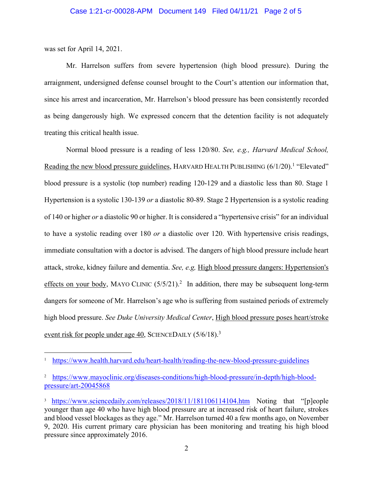was set for April 14, 2021.

Mr. Harrelson suffers from severe hypertension (high blood pressure). During the arraignment, undersigned defense counsel brought to the Court's attention our information that, since his arrest and incarceration, Mr. Harrelson's blood pressure has been consistently recorded as being dangerously high. We expressed concern that the detention facility is not adequately treating this critical health issue.

Normal blood pressure is a reading of less 120/80. *See, e.g., Harvard Medical School,*  Reading the new blood pressure guidelines, HARVARD HEALTH PUBLISHING  $(6/1/20)$ .<sup>1</sup> "Elevated" blood pressure is a systolic (top number) reading 120-129 and a diastolic less than 80. Stage 1 Hypertension is a systolic 130-139 *or* a diastolic 80-89. Stage 2 Hypertension is a systolic reading of 140 or higher *or* a diastolic 90 or higher. It is considered a "hypertensive crisis" for an individual to have a systolic reading over 180 *or* a diastolic over 120. With hypertensive crisis readings, immediate consultation with a doctor is advised. The dangers of high blood pressure include heart attack, stroke, kidney failure and dementia. *See, e.g,* High blood pressure dangers: Hypertension's effects on your body, MAYO CLINIC  $(5/5/21)$ .<sup>2</sup> In addition, there may be subsequent long-term dangers for someone of Mr. Harrelson's age who is suffering from sustained periods of extremely high blood pressure. *See Duke University Medical Center*, High blood pressure poses heart/stroke event risk for people under age 40, SCIENCEDAILY (5/6/18).<sup>3</sup>

<sup>1</sup> https://www.health.harvard.edu/heart-health/reading-the-new-blood-pressure-guidelines

<sup>&</sup>lt;sup>2</sup> https://www.mayoclinic.org/diseases-conditions/high-blood-pressure/in-depth/high-bloodpressure/art-20045868

<sup>&</sup>lt;sup>3</sup> https://www.sciencedaily.com/releases/2018/11/181106114104.htm Noting that "[p]eople younger than age 40 who have high blood pressure are at increased risk of heart failure, strokes and blood vessel blockages as they age." Mr. Harrelson turned 40 a few months ago, on November 9, 2020. His current primary care physician has been monitoring and treating his high blood pressure since approximately 2016.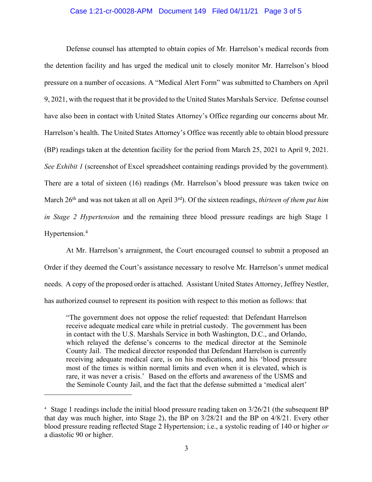### Case 1:21-cr-00028-APM Document 149 Filed 04/11/21 Page 3 of 5

Defense counsel has attempted to obtain copies of Mr. Harrelson's medical records from the detention facility and has urged the medical unit to closely monitor Mr. Harrelson's blood pressure on a number of occasions. A "Medical Alert Form" was submitted to Chambers on April 9, 2021, with the request that it be provided to the United States Marshals Service. Defense counsel have also been in contact with United States Attorney's Office regarding our concerns about Mr. Harrelson's health. The United States Attorney's Office was recently able to obtain blood pressure (BP) readings taken at the detention facility for the period from March 25, 2021 to April 9, 2021. *See Exhibit 1* (screenshot of Excel spreadsheet containing readings provided by the government). There are a total of sixteen (16) readings (Mr. Harrelson's blood pressure was taken twice on March 26th and was not taken at all on April 3rd). Of the sixteen readings, *thirteen of them put him in Stage 2 Hypertension* and the remaining three blood pressure readings are high Stage 1 Hypertension.4

At Mr. Harrelson's arraignment, the Court encouraged counsel to submit a proposed an Order if they deemed the Court's assistance necessary to resolve Mr. Harrelson's unmet medical needs. A copy of the proposed order is attached. Assistant United States Attorney, Jeffrey Nestler, has authorized counsel to represent its position with respect to this motion as follows: that

"The government does not oppose the relief requested: that Defendant Harrelson receive adequate medical care while in pretrial custody. The government has been in contact with the U.S. Marshals Service in both Washington, D.C., and Orlando, which relayed the defense's concerns to the medical director at the Seminole County Jail. The medical director responded that Defendant Harrelson is currently receiving adequate medical care, is on his medications, and his 'blood pressure most of the times is within normal limits and even when it is elevated, which is rare, it was never a crisis.' Based on the efforts and awareness of the USMS and the Seminole County Jail, and the fact that the defense submitted a 'medical alert'

<sup>&</sup>lt;sup>4</sup> Stage 1 readings include the initial blood pressure reading taken on 3/26/21 (the subsequent BP that day was much higher, into Stage 2), the BP on 3/28/21 and the BP on 4/8/21. Every other blood pressure reading reflected Stage 2 Hypertension; i.e., a systolic reading of 140 or higher *or* a diastolic 90 or higher.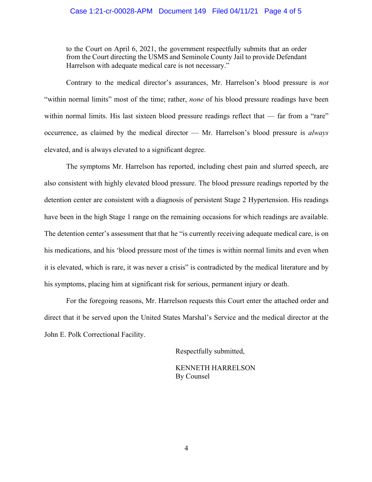### Case 1:21-cr-00028-APM Document 149 Filed 04/11/21 Page 4 of 5

to the Court on April 6, 2021, the government respectfully submits that an order from the Court directing the USMS and Seminole County Jail to provide Defendant Harrelson with adequate medical care is not necessary."

Contrary to the medical director's assurances, Mr. Harrelson's blood pressure is *not* "within normal limits" most of the time; rather, *none* of his blood pressure readings have been within normal limits. His last sixteen blood pressure readings reflect that — far from a "rare" occurrence, as claimed by the medical director –– Mr. Harrelson's blood pressure is *always* elevated, and is always elevated to a significant degree.

The symptoms Mr. Harrelson has reported, including chest pain and slurred speech, are also consistent with highly elevated blood pressure. The blood pressure readings reported by the detention center are consistent with a diagnosis of persistent Stage 2 Hypertension. His readings have been in the high Stage 1 range on the remaining occasions for which readings are available. The detention center's assessment that that he "is currently receiving adequate medical care, is on his medications, and his 'blood pressure most of the times is within normal limits and even when it is elevated, which is rare, it was never a crisis" is contradicted by the medical literature and by his symptoms, placing him at significant risk for serious, permanent injury or death.

For the foregoing reasons, Mr. Harrelson requests this Court enter the attached order and direct that it be served upon the United States Marshal's Service and the medical director at the John E. Polk Correctional Facility.

Respectfully submitted,

 KENNETH HARRELSON By Counsel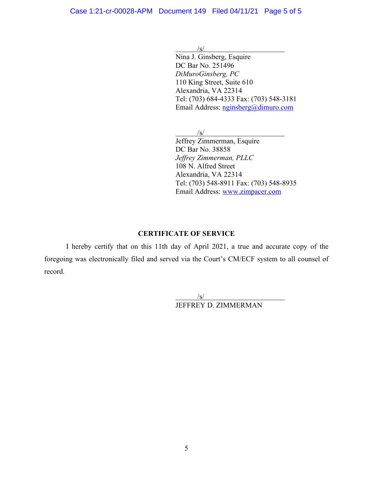$/\underline{s}/$ 

 Nina J. Ginsberg, Esquire DC Bar No. 251496 *DiMuroGinsberg, PC* 110 King Street, Suite 610 Alexandria, VA 22314 Tel: (703) 684-4333 Fax: (703) 548-3181 Email Address: nginsberg@dimuro.com

 $\sqrt{s}$ /

 Jeffrey Zimmerman, Esquire DC Bar No. 38858 *Jeffrey Zimmerman, PLLC* 108 N. Alfred Street Alexandria, VA 22314 Tel: (703) 548-8911 Fax: (703) 548-8935 Email Address: www.zimpacer.com

# **CERTIFICATE OF SERVICE**

I hereby certify that on this 11th day of April 2021, a true and accurate copy of the foregoing was electronically filed and served via the Court's CM/ECF system to all counsel of record.

> $/$ s/ JEFFREY D. ZIMMERMAN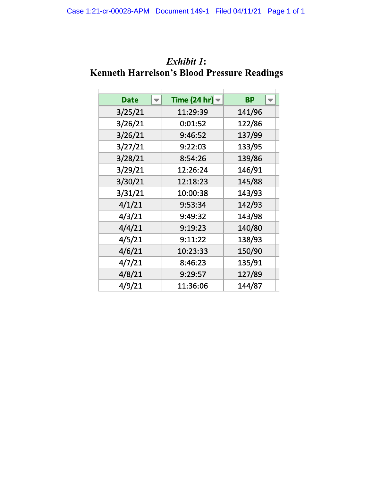| <b>Date</b> | Time (24 hr) $\blacktriangledown$ | <b>BP</b> |
|-------------|-----------------------------------|-----------|
| 3/25/21     | 11:29:39                          | 141/96    |
| 3/26/21     | 0:01:52                           | 122/86    |
| 3/26/21     | 9:46:52                           | 137/99    |
| 3/27/21     | 9:22:03                           | 133/95    |
| 3/28/21     | 8:54:26                           | 139/86    |
| 3/29/21     | 12:26:24                          | 146/91    |
| 3/30/21     | 12:18:23                          | 145/88    |
| 3/31/21     | 10:00:38                          | 143/93    |
| 4/1/21      | 9:53:34                           | 142/93    |
| 4/3/21      | 9:49:32                           | 143/98    |
| 4/4/21      | 9:19:23                           | 140/80    |
| 4/5/21      | 9:11:22                           | 138/93    |
| 4/6/21      | 10:23:33                          | 150/90    |
| 4/7/21      | 8:46:23                           | 135/91    |
| 4/8/21      | 9:29:57                           | 127/89    |
| 4/9/21      | 11:36:06                          | 144/87    |

# *Exhibit 1***: Kenneth Harrelson's Blood Pressure Readings**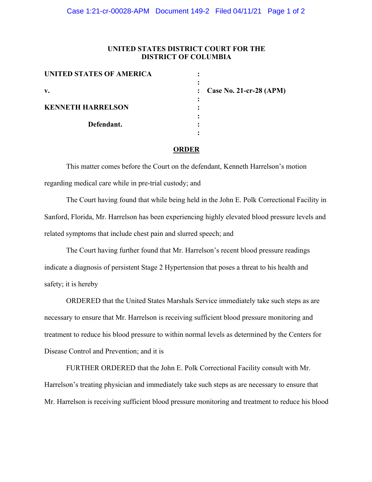# **UNITED STATES DISTRICT COURT FOR THE DISTRICT OF COLUMBIA**

| <b>UNITED STATES OF AMERICA</b> |                           |
|---------------------------------|---------------------------|
| v.                              | Case No. 21-cr-28 $(APM)$ |
| <b>KENNETH HARRELSON</b>        |                           |
| Defendant.                      |                           |
|                                 |                           |

#### **ORDER**

This matter comes before the Court on the defendant, Kenneth Harrelson's motion regarding medical care while in pre-trial custody; and

The Court having found that while being held in the John E. Polk Correctional Facility in Sanford, Florida, Mr. Harrelson has been experiencing highly elevated blood pressure levels and related symptoms that include chest pain and slurred speech; and

The Court having further found that Mr. Harrelson's recent blood pressure readings indicate a diagnosis of persistent Stage 2 Hypertension that poses a threat to his health and safety; it is hereby

ORDERED that the United States Marshals Service immediately take such steps as are necessary to ensure that Mr. Harrelson is receiving sufficient blood pressure monitoring and treatment to reduce his blood pressure to within normal levels as determined by the Centers for Disease Control and Prevention; and it is

FURTHER ORDERED that the John E. Polk Correctional Facility consult with Mr. Harrelson's treating physician and immediately take such steps as are necessary to ensure that Mr. Harrelson is receiving sufficient blood pressure monitoring and treatment to reduce his blood